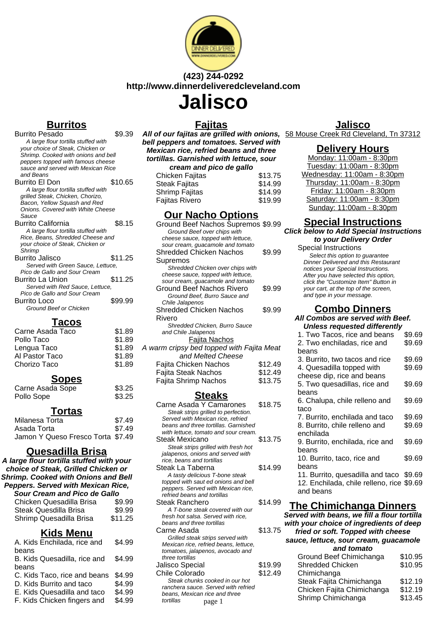

# **(423) 244-0292 http://www.dinnerdeliveredcleveland.com**

# **Jalisco**

# **Burritos**

| <u>,</u>                            |         |
|-------------------------------------|---------|
| Burrito Pesado                      | \$9.39  |
| A large flour tortilla stuffed with |         |
| your choice of Steak, Chicken or    |         |
| Shrimp. Cooked with onions and bell |         |
| peppers topped with famous cheese   |         |
| sauce and served with Mexican Rice  |         |
| and Beans                           |         |
| Burrito El Don                      | \$10.65 |
| A large flour tortilla stuffed with |         |
| grilled Steak, Chicken, Chorizo,    |         |
| Bacon, Yellow Squash and Red        |         |
| Onions. Covered with White Cheese   |         |
| Sauce                               |         |
| Burrito California                  | \$8.15  |
| A large flour tortilla stuffed with |         |
| Rice, Beans, Shredded Cheese and    |         |
| your choice of Steak, Chicken or    |         |
| Shrimp                              |         |
| Burrito Jalisco                     | \$11.25 |
| Served with Green Sauce, Lettuce,   |         |
| Pico de Gallo and Sour Cream        |         |
| Burrito La Union                    | \$11.25 |
| Served with Red Sauce, Lettuce,     |         |
| Pico de Gallo and Sour Cream        |         |
| Burrito Loco                        | \$99.99 |
| Ground Beef or Chicken              |         |
|                                     |         |

## **Tacos**

| Carne Asada Taco | \$1.89 |
|------------------|--------|
| Pollo Taco       | \$1.89 |
| Lengua Taco      | \$1.89 |
| Al Pastor Taco   | \$1.89 |
| Chorizo Taco     | \$1.89 |

## **Sopes**

| Carne Asada Sope | \$3.25 |
|------------------|--------|
| Pollo Sope       | \$3.25 |

#### **Tortas**

| Milanesa Torta                    | \$7.49 |
|-----------------------------------|--------|
| Asada Torta                       | \$7.49 |
| Jamon Y Queso Fresco Torta \$7.49 |        |

# **Quesadilla Brisa**

**A large flour tortilla stuffed with your choice of Steak, Grilled Chicken or Shrimp. Cooked with Onions and Bell Peppers. Served with Mexican Rice, Sour Cream and Pico de Gallo** Chicken Quesadilla Br

| Chicken Quesadilla Brisa | \$9.99  |
|--------------------------|---------|
| Steak Quesdilla Brisa    | \$9.99  |
| Shrimp Quesadilla Brisa  | \$11.25 |

# **Kids Menu**

| A. Kids Enchilada, rice and  | \$4.99 |
|------------------------------|--------|
| beans                        |        |
| B. Kids Quesadilla, rice and | \$4.99 |
| beans                        |        |
| C. Kids Taco, rice and beans | \$4.99 |
| D. Kids Burrito and taco     | \$4.99 |
| E. Kids Quesadilla and taco  | \$4.99 |
| F. Kids Chicken fingers and  | \$4.99 |
|                              |        |

# **Fajitas**

**All of our fajitas are grilled with onions,** 58 Mouse Creek Rd Cleveland, Tn 37312 **bell peppers and tomatoes. Served with Mexican rice, refried beans and three tortillas. Garnished with lettuce, sour cream and pico de gallo**

| <u>Urcum and pico ac gano</u> |         |
|-------------------------------|---------|
| Chicken Fajitas               | \$13.75 |
| Steak Fajitas                 | \$14.99 |
| Shrimp Fajitas                | \$14.99 |
| <b>Failtas Rivero</b>         | \$19.99 |

# **Our Nacho Options**

| Ground Beef Nachos Supremos \$9.99        |         |
|-------------------------------------------|---------|
| Ground Beef over chips with               |         |
| cheese sauce, topped with lettuce,        |         |
| sour cream, guacamole and tomato          |         |
| Shredded Chicken Nachos                   | \$9.99  |
| Supremos                                  |         |
| Shredded Chicken over chips with          |         |
| cheese sauce, topped with lettuce,        |         |
| sour cream, guacamole and tomato          |         |
| Ground Beef Nachos Rivero                 | \$9.99  |
| Ground Beef, Burro Sauce and              |         |
| Chile Jalapenos                           |         |
| Shredded Chicken Nachos                   | \$9.99  |
| Rivero                                    |         |
| Shredded Chicken, Burro Sauce             |         |
| and Chile Jalapenos                       |         |
| Fajita Nachos                             |         |
| A warm cripsy bed topped with Fajita Meat |         |
| and Melted Cheese                         |         |
| Fajita Chicken Nachos                     | \$12.49 |
| Fajita Steak Nachos                       | \$12.49 |
| Fajita Shrimp Nachos                      | \$13.75 |
|                                           |         |

## **Steaks**

| Carne Asada Y Camarones               | \$18.75 |
|---------------------------------------|---------|
| Steak strips grilled to perfection.   |         |
| Served with Mexican rice, refried     |         |
| beans and three tortillas. Garnished  |         |
| with lettuce, tomato and sour cream.  |         |
| Steak Mexicano                        | \$13.75 |
| Steak strips grilled with fresh hot   |         |
| jalapenos, onions and served with     |         |
| rice, beans and tortillas             |         |
| Steak La Taberna                      | \$14.99 |
| A tasty delicious T-bone steak        |         |
| topped with saut ed onions and bell   |         |
| peppers. Served with Mexican rice,    |         |
| refried beans and tortillas           |         |
| Steak Ranchero                        | \$14.99 |
| A T-bone steak covered with our       |         |
| fresh hot salsa. Served with rice,    |         |
| beans and three tortillas             |         |
| Carne Asada                           | \$13.75 |
| Grilled steak strips served with      |         |
| Mexican rice, refried beans, lettuce, |         |
| tomatoes, jalapenos, avocado and      |         |
| three tortillas                       |         |
| Jalisco Special                       | \$19.99 |
| Chile Colorado                        | \$12.49 |
| Steak chunks cooked in our hot        |         |
| ranchera sauce. Served with refried   |         |
| beans, Mexican rice and three         |         |

tortillas

## **Jalisco**

#### **Delivery Hours**

Monday: 11:00am - 8:30pm Tuesday: 11:00am - 8:30pm Wednesday: 11:00am - 8:30pm Thursday: 11:00am - 8:30pm Friday: 11:00am - 8:30pm Saturday: 11:00am - 8:30pm Sunday: 11:00am - 8:30pm

## **Special Instructions**

#### **Click below to Add Special Instructions to your Delivery Order**

Special Instructions Select this option to quarantee Dinner Delivered and this Restaurant notices your Special Instructions. After you have selected this option, click the "Customize Item" Button in your cart, at the top of the screen, and type in your message.

#### **Combo Dinners All Combos are served with Beef.**

| Unless requested differently              |        |
|-------------------------------------------|--------|
| 1. Two Tacos, rice and beans              | \$9.69 |
| 2. Two enchiladas, rice and               | \$9.69 |
| beans                                     |        |
| 3. Burrito, two tacos and rice            | \$9.69 |
| 4. Quesadilla topped with                 | \$9.69 |
| cheese dip, rice and beans                |        |
| 5. Two quesadillas, rice and              | \$9.69 |
| beans                                     |        |
| 6. Chalupa, chile relleno and             | \$9.69 |
| taco                                      |        |
| 7. Burrito, enchilada and taco            | \$9.69 |
| 8. Burrito, chile relleno and             | \$9.69 |
| enchilada                                 |        |
| 9. Burrito, enchilada, rice and           | \$9.69 |
| beans                                     |        |
| 10. Burrito, taco, rice and               | \$9.69 |
| beans                                     |        |
| 11. Burrito, quesadilla and taco \$9.69   |        |
| 12. Enchilada, chile relleno, rice \$9.69 |        |
| and beans                                 |        |
|                                           |        |

#### **The Chimichanga Dinners**

**Served with beans, we fill a flour tortilla with your choice of ingredients of deep**

## **fried or soft. Topped with cheese**

| strips served with<br>fried beans, lettuce,<br>enos, avocado and |         | sauce, lettuce, sour cream, guacamole<br>and tomato |         |
|------------------------------------------------------------------|---------|-----------------------------------------------------|---------|
|                                                                  |         | Ground Beef Chimichanga                             | \$10.95 |
|                                                                  | \$19.99 | <b>Shredded Chicken</b>                             | \$10.95 |
|                                                                  | \$12.49 | Chimichanga                                         |         |
| cooked in our hot                                                |         | Steak Fajita Chimichanga                            | \$12.19 |
| Served with refried<br>rice and three                            |         | Chicken Fajita Chimichanga                          | \$12.19 |
| page 1                                                           |         | Shrimp Chimichanga                                  | \$13.45 |
|                                                                  |         |                                                     |         |